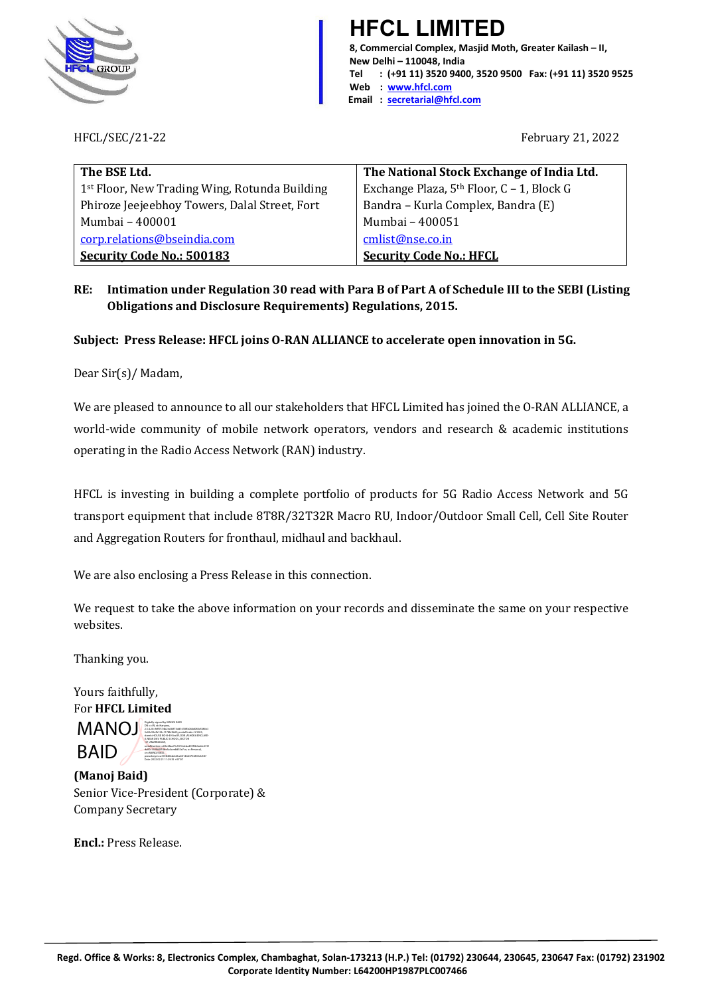

**HFCL LIMITED 8, Commercial Complex, Masjid Moth, Greater Kailash – II, New Delhi – 110048, India Tel : (+91 11) 3520 9400, 3520 9500 Fax: (+91 11) 3520 9525 Web : [www.hfcl.com](http://www.hfcl.com/)  Email : [secretarial@hfcl.com](mailto:secretarial@hfcl.com)**

HFCL/SEC/21-22 February 21, 2022

| The BSE Ltd.                                              | The National Stock Exchange of India Ltd.   |
|-----------------------------------------------------------|---------------------------------------------|
| 1 <sup>st</sup> Floor, New Trading Wing, Rotunda Building | Exchange Plaza, $5th$ Floor, C – 1, Block G |
| Phiroze Jeejeebhoy Towers, Dalal Street, Fort             | Bandra - Kurla Complex, Bandra (E)          |
| Mumbai - 400001                                           | Mumbai - 400051                             |
| corp.relations@bseindia.com                               | cmlist@nse.co.in                            |
| <b>Security Code No.: 500183</b>                          | <b>Security Code No.: HFCL</b>              |

**RE: Intimation under Regulation 30 read with Para B of Part A of Schedule III to the SEBI (Listing Obligations and Disclosure Requirements) Regulations, 2015.** 

## **Subject: Press Release: HFCL joins O-RAN ALLIANCE to accelerate open innovation in 5G.**

Dear Sir(s)/ Madam,

We are pleased to announce to all our stakeholders that HFCL Limited has joined the O-RAN ALLIANCE, a world-wide community of mobile network operators, vendors and research & academic institutions operating in the Radio Access Network (RAN) industry.

HFCL is investing in building a complete portfolio of products for 5G Radio Access Network and 5G transport equipment that include 8T8R/32T32R Macro RU, Indoor/Outdoor Small Cell, Cell Site Router and Aggregation Routers for fronthaul, midhaul and backhaul.

We are also enclosing a Press Release in this connection.

We request to take the above information on your records and disseminate the same on your respective websites.

Thanking you.

Yours faithfully, For **HFCL Limited**

MANOJ **BAID** BAID 2.5.4.20=feff7574b2ec84f75dd1618ffa064d080cf386b3 3c02c59efb133c1178fe9b09, postalCode=121003, street=HOUSE NO-B-49 IInd FLOOR ,ASHOKA ENCLAVE-II ,NEAR DAV PUBLIC SCHOOL ,SECTOR -37 ,AMARNAGAR, serialNumber=c69e28aa73c5576dcba459f5b0a62c2731 da00c160966f54be5a4cee8d55e7ce, o=Personal, cn=MANOJ BAID, pseudonym=a372840bd2c4ba50144d3702835eb587 Date: 2022.02.21 11:29:35 +05'30'

**(Manoj Baid)** Senior Vice-President (Corporate) & Company Secretary

**Encl.:** Press Release.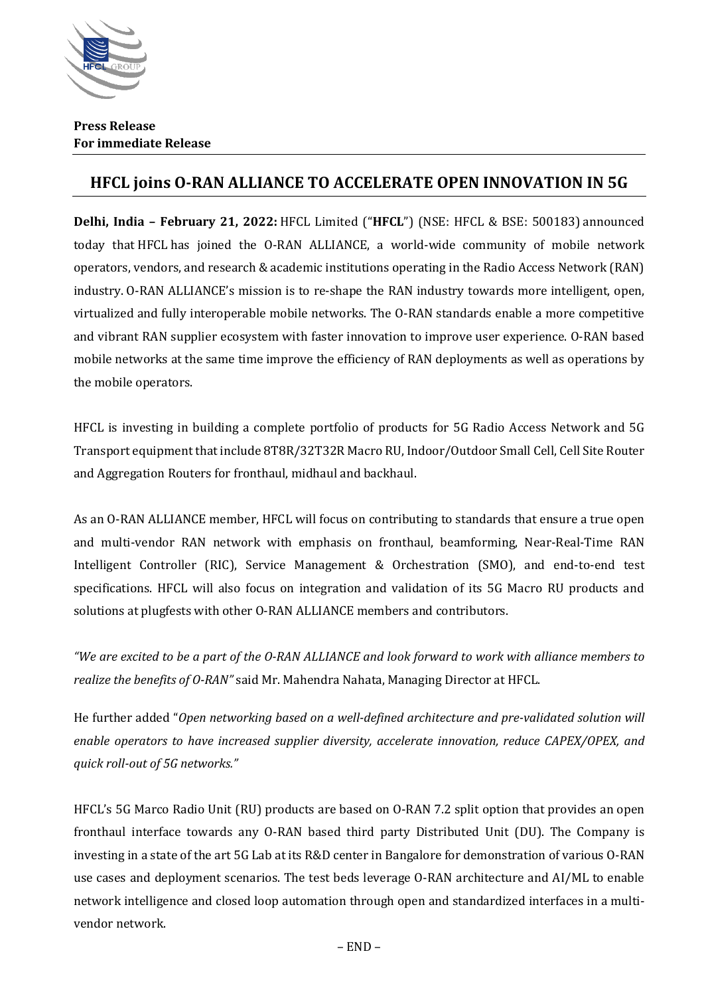

## **HFCL joins O-RAN ALLIANCE TO ACCELERATE OPEN INNOVATION IN 5G**

**Delhi, India – February 21, 2022:** HFCL Limited ("**HFCL**") (NSE: HFCL & BSE: 500183) announced today that HFCL has joined the O-RAN ALLIANCE, a world-wide community of mobile network operators, vendors, and research & academic institutions operating in the Radio Access Network (RAN) industry. O-RAN ALLIANCE's mission is to re-shape the RAN industry towards more intelligent, open, virtualized and fully interoperable mobile networks. The O-RAN standards enable a more competitive and vibrant RAN supplier ecosystem with faster innovation to improve user experience. O-RAN based mobile networks at the same time improve the efficiency of RAN deployments as well as operations by the mobile operators.

HFCL is investing in building a complete portfolio of products for 5G Radio Access Network and 5G Transport equipment that include 8T8R/32T32R Macro RU, Indoor/Outdoor Small Cell, Cell Site Router and Aggregation Routers for fronthaul, midhaul and backhaul.

As an O-RAN ALLIANCE member, HFCL will focus on contributing to standards that ensure a true open and multi-vendor RAN network with emphasis on fronthaul, beamforming, Near-Real-Time RAN Intelligent Controller (RIC), Service Management & Orchestration (SMO), and end-to-end test specifications. HFCL will also focus on integration and validation of its 5G Macro RU products and solutions at plugfests with other O-RAN ALLIANCE members and contributors.

*"We are excited to be a part of the O-RAN ALLIANCE and look forward to work with alliance members to realize the benefits of O-RAN"* said Mr. Mahendra Nahata, Managing Director at HFCL.

He further added "*Open networking based on a well-defined architecture and pre-validated solution will enable operators to have increased supplier diversity, accelerate innovation, reduce CAPEX/OPEX, and quick roll-out of 5G networks."*

HFCL's 5G Marco Radio Unit (RU) products are based on O-RAN 7.2 split option that provides an open fronthaul interface towards any O-RAN based third party Distributed Unit (DU). The Company is investing in a state of the art 5G Lab at its R&D center in Bangalore for demonstration of various O-RAN use cases and deployment scenarios. The test beds leverage O-RAN architecture and AI/ML to enable network intelligence and closed loop automation through open and standardized interfaces in a multivendor network.